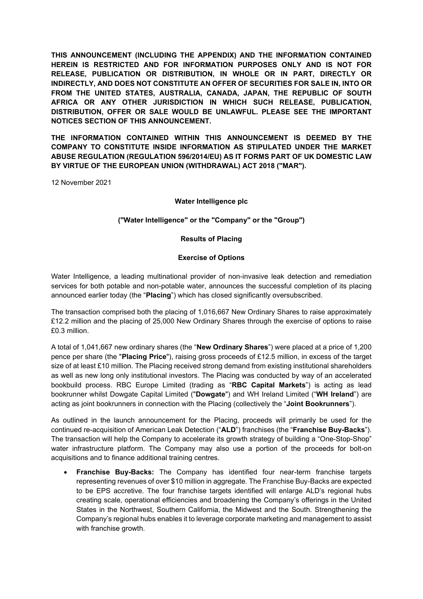**THIS ANNOUNCEMENT (INCLUDING THE APPENDIX) AND THE INFORMATION CONTAINED HEREIN IS RESTRICTED AND FOR INFORMATION PURPOSES ONLY AND IS NOT FOR RELEASE, PUBLICATION OR DISTRIBUTION, IN WHOLE OR IN PART, DIRECTLY OR INDIRECTLY, AND DOES NOT CONSTITUTE AN OFFER OF SECURITIES FOR SALE IN, INTO OR FROM THE UNITED STATES, AUSTRALIA, CANADA, JAPAN, THE REPUBLIC OF SOUTH AFRICA OR ANY OTHER JURISDICTION IN WHICH SUCH RELEASE, PUBLICATION, DISTRIBUTION, OFFER OR SALE WOULD BE UNLAWFUL. PLEASE SEE THE IMPORTANT NOTICES SECTION OF THIS ANNOUNCEMENT.**

**THE INFORMATION CONTAINED WITHIN THIS ANNOUNCEMENT IS DEEMED BY THE COMPANY TO CONSTITUTE INSIDE INFORMATION AS STIPULATED UNDER THE MARKET ABUSE REGULATION (REGULATION 596/2014/EU) AS IT FORMS PART OF UK DOMESTIC LAW BY VIRTUE OF THE EUROPEAN UNION (WITHDRAWAL) ACT 2018 ("MAR").** 

12 November 2021

## **Water Intelligence plc**

## **("Water Intelligence" or the "Company" or the "Group")**

## **Results of Placing**

## **Exercise of Options**

Water Intelligence, a leading multinational provider of non-invasive leak detection and remediation services for both potable and non-potable water, announces the successful completion of its placing announced earlier today (the "**Placing**") which has closed significantly oversubscribed.

The transaction comprised both the placing of 1,016,667 New Ordinary Shares to raise approximately £12.2 million and the placing of 25,000 New Ordinary Shares through the exercise of options to raise £0.3 million.

A total of 1,041,667 new ordinary shares (the "**New Ordinary Shares**") were placed at a price of 1,200 pence per share (the "**Placing Price**"), raising gross proceeds of £12.5 million, in excess of the target size of at least £10 million. The Placing received strong demand from existing institutional shareholders as well as new long only institutional investors. The Placing was conducted by way of an accelerated bookbuild process. RBC Europe Limited (trading as "**RBC Capital Markets**") is acting as lead bookrunner whilst Dowgate Capital Limited ("**Dowgate**") and WH Ireland Limited ("**WH Ireland**") are acting as joint bookrunners in connection with the Placing (collectively the "**Joint Bookrunners**").

As outlined in the launch announcement for the Placing, proceeds will primarily be used for the continued re-acquisition of American Leak Detection ("**ALD**") franchises (the "**Franchise Buy-Backs**"). The transaction will help the Company to accelerate its growth strategy of building a "One-Stop-Shop" water infrastructure platform. The Company may also use a portion of the proceeds for bolt-on acquisitions and to finance additional training centres.

• **Franchise Buy-Backs:** The Company has identified four near-term franchise targets representing revenues of over \$10 million in aggregate. The Franchise Buy-Backs are expected to be EPS accretive. The four franchise targets identified will enlarge ALD's regional hubs creating scale, operational efficiencies and broadening the Company's offerings in the United States in the Northwest, Southern California, the Midwest and the South. Strengthening the Company's regional hubs enables it to leverage corporate marketing and management to assist with franchise growth.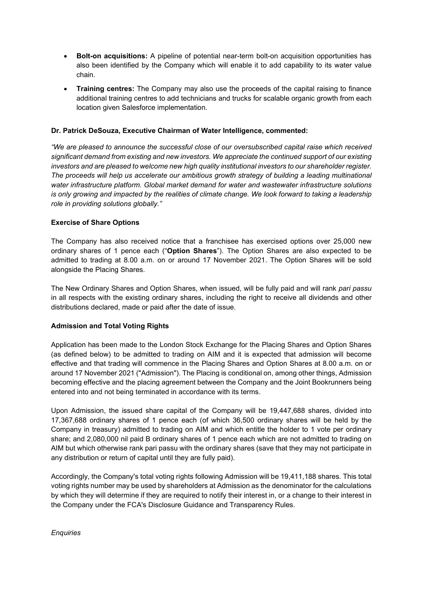- **Bolt-on acquisitions:** A pipeline of potential near-term bolt-on acquisition opportunities has also been identified by the Company which will enable it to add capability to its water value chain.
- **Training centres:** The Company may also use the proceeds of the capital raising to finance additional training centres to add technicians and trucks for scalable organic growth from each location given Salesforce implementation.

## **Dr. Patrick DeSouza, Executive Chairman of Water Intelligence, commented:**

*"We are pleased to announce the successful close of our oversubscribed capital raise which received significant demand from existing and new investors. We appreciate the continued support of our existing investors and are pleased to welcome new high quality institutional investors to our shareholder register. The proceeds will help us accelerate our ambitious growth strategy of building a leading multinational water infrastructure platform. Global market demand for water and wastewater infrastructure solutions is only growing and impacted by the realities of climate change. We look forward to taking a leadership role in providing solutions globally."*

## **Exercise of Share Options**

The Company has also received notice that a franchisee has exercised options over 25,000 new ordinary shares of 1 pence each ("**Option Shares**"). The Option Shares are also expected to be admitted to trading at 8.00 a.m. on or around 17 November 2021. The Option Shares will be sold alongside the Placing Shares.

The New Ordinary Shares and Option Shares, when issued, will be fully paid and will rank *pari passu* in all respects with the existing ordinary shares, including the right to receive all dividends and other distributions declared, made or paid after the date of issue.

## **Admission and Total Voting Rights**

Application has been made to the London Stock Exchange for the Placing Shares and Option Shares (as defined below) to be admitted to trading on AIM and it is expected that admission will become effective and that trading will commence in the Placing Shares and Option Shares at 8.00 a.m. on or around 17 November 2021 ("Admission"). The Placing is conditional on, among other things, Admission becoming effective and the placing agreement between the Company and the Joint Bookrunners being entered into and not being terminated in accordance with its terms.

Upon Admission, the issued share capital of the Company will be 19,447,688 shares, divided into 17,367,688 ordinary shares of 1 pence each (of which 36,500 ordinary shares will be held by the Company in treasury) admitted to trading on AIM and which entitle the holder to 1 vote per ordinary share; and 2,080,000 nil paid B ordinary shares of 1 pence each which are not admitted to trading on AIM but which otherwise rank pari passu with the ordinary shares (save that they may not participate in any distribution or return of capital until they are fully paid).

Accordingly, the Company's total voting rights following Admission will be 19,411,188 shares. This total voting rights number may be used by shareholders at Admission as the denominator for the calculations by which they will determine if they are required to notify their interest in, or a change to their interest in the Company under the FCA's Disclosure Guidance and Transparency Rules.

*Enquiries*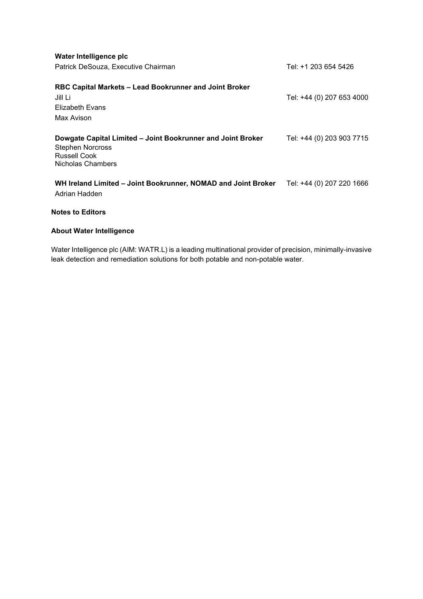| Water Intelligence plc<br>Patrick DeSouza, Executive Chairman                                                               | Tel: +1 203 654 5426      |
|-----------------------------------------------------------------------------------------------------------------------------|---------------------------|
| RBC Capital Markets - Lead Bookrunner and Joint Broker<br>Jill Li<br>Elizabeth Evans<br>Max Avison                          | Tel: +44 (0) 207 653 4000 |
| Dowgate Capital Limited - Joint Bookrunner and Joint Broker<br><b>Stephen Norcross</b><br>Russell Cook<br>Nicholas Chambers | Tel: +44 (0) 203 903 7715 |
| WH Ireland Limited – Joint Bookrunner, NOMAD and Joint Broker<br>Adrian Hadden                                              | Tel: +44 (0) 207 220 1666 |

## **Notes to Editors**

# **About Water Intelligence**

Water Intelligence plc (AIM: WATR.L) is a leading multinational provider of precision, minimally-invasive leak detection and remediation solutions for both potable and non-potable water.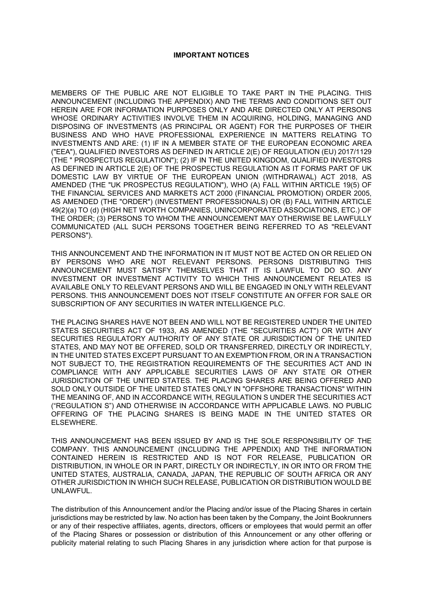#### **IMPORTANT NOTICES**

MEMBERS OF THE PUBLIC ARE NOT ELIGIBLE TO TAKE PART IN THE PLACING. THIS ANNOUNCEMENT (INCLUDING THE APPENDIX) AND THE TERMS AND CONDITIONS SET OUT HEREIN ARE FOR INFORMATION PURPOSES ONLY AND ARE DIRECTED ONLY AT PERSONS WHOSE ORDINARY ACTIVITIES INVOLVE THEM IN ACQUIRING, HOLDING, MANAGING AND DISPOSING OF INVESTMENTS (AS PRINCIPAL OR AGENT) FOR THE PURPOSES OF THEIR BUSINESS AND WHO HAVE PROFESSIONAL EXPERIENCE IN MATTERS RELATING TO INVESTMENTS AND ARE: (1) IF IN A MEMBER STATE OF THE EUROPEAN ECONOMIC AREA ("EEA"), QUALIFIED INVESTORS AS DEFINED IN ARTICLE 2(E) OF REGULATION (EU) 2017/1129 (THE " PROSPECTUS REGULATION"); (2) IF IN THE UNITED KINGDOM, QUALIFIED INVESTORS AS DEFINED IN ARTICLE 2(E) OF THE PROSPECTUS REGULATION AS IT FORMS PART OF UK DOMESTIC LAW BY VIRTUE OF THE EUROPEAN UNION (WITHDRAWAL) ACT 2018, AS AMENDED (THE "UK PROSPECTUS REGULATION"), WHO (A) FALL WITHIN ARTICLE 19(5) OF THE FINANCIAL SERVICES AND MARKETS ACT 2000 (FINANCIAL PROMOTION) ORDER 2005, AS AMENDED (THE "ORDER") (INVESTMENT PROFESSIONALS) OR (B) FALL WITHIN ARTICLE 49(2)(a) TO (d) (HIGH NET WORTH COMPANIES, UNINCORPORATED ASSOCIATIONS, ETC.) OF THE ORDER; (3) PERSONS TO WHOM THE ANNOUNCEMENT MAY OTHERWISE BE LAWFULLY COMMUNICATED (ALL SUCH PERSONS TOGETHER BEING REFERRED TO AS "RELEVANT PERSONS").

THIS ANNOUNCEMENT AND THE INFORMATION IN IT MUST NOT BE ACTED ON OR RELIED ON BY PERSONS WHO ARE NOT RELEVANT PERSONS. PERSONS DISTRIBUTING THIS ANNOUNCEMENT MUST SATISFY THEMSELVES THAT IT IS LAWFUL TO DO SO. ANY INVESTMENT OR INVESTMENT ACTIVITY TO WHICH THIS ANNOUNCEMENT RELATES IS AVAILABLE ONLY TO RELEVANT PERSONS AND WILL BE ENGAGED IN ONLY WITH RELEVANT PERSONS. THIS ANNOUNCEMENT DOES NOT ITSELF CONSTITUTE AN OFFER FOR SALE OR SUBSCRIPTION OF ANY SECURITIES IN WATER INTELLIGENCE PLC.

THE PLACING SHARES HAVE NOT BEEN AND WILL NOT BE REGISTERED UNDER THE UNITED STATES SECURITIES ACT OF 1933, AS AMENDED (THE "SECURITIES ACT") OR WITH ANY SECURITIES REGULATORY AUTHORITY OF ANY STATE OR JURISDICTION OF THE UNITED STATES, AND MAY NOT BE OFFERED, SOLD OR TRANSFERRED, DIRECTLY OR INDIRECTLY, IN THE UNITED STATES EXCEPT PURSUANT TO AN EXEMPTION FROM, OR IN A TRANSACTION NOT SUBJECT TO, THE REGISTRATION REQUIREMENTS OF THE SECURITIES ACT AND IN COMPLIANCE WITH ANY APPLICABLE SECURITIES LAWS OF ANY STATE OR OTHER JURISDICTION OF THE UNITED STATES. THE PLACING SHARES ARE BEING OFFERED AND SOLD ONLY OUTSIDE OF THE UNITED STATES ONLY IN "OFFSHORE TRANSACTIONS" WITHIN THE MEANING OF, AND IN ACCORDANCE WITH, REGULATION S UNDER THE SECURITIES ACT ("REGULATION S") AND OTHERWISE IN ACCORDANCE WITH APPLICABLE LAWS. NO PUBLIC OFFERING OF THE PLACING SHARES IS BEING MADE IN THE UNITED STATES OR ELSEWHERE.

THIS ANNOUNCEMENT HAS BEEN ISSUED BY AND IS THE SOLE RESPONSIBILITY OF THE COMPANY. THIS ANNOUNCEMENT (INCLUDING THE APPENDIX) AND THE INFORMATION CONTAINED HEREIN IS RESTRICTED AND IS NOT FOR RELEASE, PUBLICATION OR DISTRIBUTION, IN WHOLE OR IN PART, DIRECTLY OR INDIRECTLY, IN OR INTO OR FROM THE UNITED STATES, AUSTRALIA, CANADA, JAPAN, THE REPUBLIC OF SOUTH AFRICA OR ANY OTHER JURISDICTION IN WHICH SUCH RELEASE, PUBLICATION OR DISTRIBUTION WOULD BE UNLAWFUL.

The distribution of this Announcement and/or the Placing and/or issue of the Placing Shares in certain jurisdictions may be restricted by law. No action has been taken by the Company, the Joint Bookrunners or any of their respective affiliates, agents, directors, officers or employees that would permit an offer of the Placing Shares or possession or distribution of this Announcement or any other offering or publicity material relating to such Placing Shares in any jurisdiction where action for that purpose is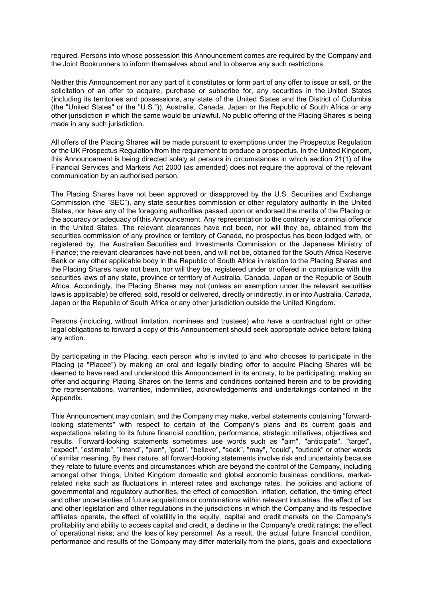required. Persons into whose possession this Announcement comes are required by the Company and the Joint Bookrunners to inform themselves about and to observe any such restrictions.

Neither this Announcement nor any part of it constitutes or form part of any offer to issue or sell, or the solicitation of an offer to acquire, purchase or subscribe for, any securities in the United States (including its territories and possessions, any state of the United States and the District of Columbia (the "United States" or the "U.S.")), Australia, Canada, Japan or the Republic of South Africa or any other jurisdiction in which the same would be unlawful. No public offering of the Placing Shares is being made in any such jurisdiction.

All offers of the Placing Shares will be made pursuant to exemptions under the Prospectus Regulation or the UK Prospectus Regulation from the requirement to produce a prospectus. In the United Kingdom, this Announcement is being directed solely at persons in circumstances in which section 21(1) of the Financial Services and Markets Act 2000 (as amended) does not require the approval of the relevant communication by an authorised person.

The Placing Shares have not been approved or disapproved by the U.S. Securities and Exchange Commission (the "SEC"), any state securities commission or other regulatory authority in the United States, nor have any of the foregoing authorities passed upon or endorsed the merits of the Placing or the accuracy or adequacy of this Announcement. Any representation to the contrary is a criminal offence in the United States. The relevant clearances have not been, nor will they be, obtained from the securities commission of any province or territory of Canada, no prospectus has been lodged with, or registered by, the Australian Securities and Investments Commission or the Japanese Ministry of Finance; the relevant clearances have not been, and will not be, obtained for the South Africa Reserve Bank or any other applicable body in the Republic of South Africa in relation to the Placing Shares and the Placing Shares have not been, nor will they be, registered under or offered in compliance with the securities laws of any state, province or territory of Australia, Canada, Japan or the Republic of South Africa. Accordingly, the Placing Shares may not (unless an exemption under the relevant securities laws is applicable) be offered, sold, resold or delivered, directly or indirectly, in or into Australia, Canada, Japan or the Republic of South Africa or any other jurisdiction outside the United Kingdom.

Persons (including, without limitation, nominees and trustees) who have a contractual right or other legal obligations to forward a copy of this Announcement should seek appropriate advice before taking any action.

By participating in the Placing, each person who is invited to and who chooses to participate in the Placing (a "Placee") by making an oral and legally binding offer to acquire Placing Shares will be deemed to have read and understood this Announcement in its entirety, to be participating, making an offer and acquiring Placing Shares on the terms and conditions contained herein and to be providing the representations, warranties, indemnities, acknowledgements and undertakings contained in the Appendix.

This Announcement may contain, and the Company may make, verbal statements containing "forwardlooking statements" with respect to certain of the Company's plans and its current goals and expectations relating to its future financial condition, performance, strategic initiatives, objectives and results. Forward-looking statements sometimes use words such as "aim", "anticipate", "target", "expect", "estimate", "intend", "plan", "goal", "believe", "seek", "may", "could", "outlook" or other words of similar meaning. By their nature, all forward-looking statements involve risk and uncertainty because they relate to future events and circumstances which are beyond the control of the Company, including amongst other things, United Kingdom domestic and global economic business conditions, marketrelated risks such as fluctuations in interest rates and exchange rates, the policies and actions of governmental and regulatory authorities, the effect of competition, inflation, deflation, the timing effect and other uncertainties of future acquisitions or combinations within relevant industries, the effect of tax and other legislation and other regulations in the jurisdictions in which the Company and its respective affiliates operate, the effect of volatility in the equity, capital and credit markets on the Company's profitability and ability to access capital and credit, a decline in the Company's credit ratings; the effect of operational risks; and the loss of key personnel. As a result, the actual future financial condition, performance and results of the Company may differ materially from the plans, goals and expectations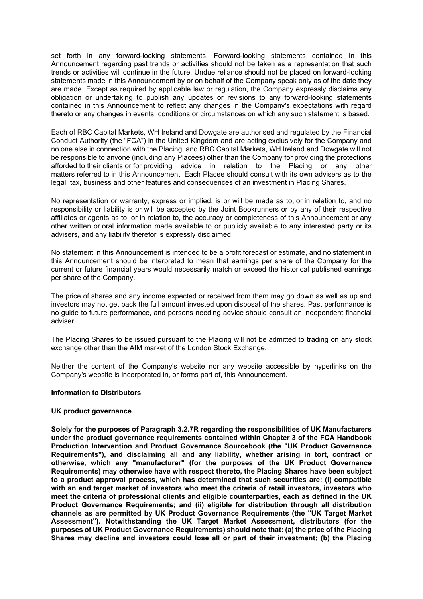set forth in any forward-looking statements. Forward-looking statements contained in this Announcement regarding past trends or activities should not be taken as a representation that such trends or activities will continue in the future. Undue reliance should not be placed on forward-looking statements made in this Announcement by or on behalf of the Company speak only as of the date they are made. Except as required by applicable law or regulation, the Company expressly disclaims any obligation or undertaking to publish any updates or revisions to any forward-looking statements contained in this Announcement to reflect any changes in the Company's expectations with regard thereto or any changes in events, conditions or circumstances on which any such statement is based.

Each of RBC Capital Markets, WH Ireland and Dowgate are authorised and regulated by the Financial Conduct Authority (the "FCA") in the United Kingdom and are acting exclusively for the Company and no one else in connection with the Placing, and RBC Capital Markets, WH Ireland and Dowgate will not be responsible to anyone (including any Placees) other than the Company for providing the protections afforded to their clients or for providing advice in relation to the Placing or any other matters referred to in this Announcement. Each Placee should consult with its own advisers as to the legal, tax, business and other features and consequences of an investment in Placing Shares.

No representation or warranty, express or implied, is or will be made as to, or in relation to, and no responsibility or liability is or will be accepted by the Joint Bookrunners or by any of their respective affiliates or agents as to, or in relation to, the accuracy or completeness of this Announcement or any other written or oral information made available to or publicly available to any interested party or its advisers, and any liability therefor is expressly disclaimed.

No statement in this Announcement is intended to be a profit forecast or estimate, and no statement in this Announcement should be interpreted to mean that earnings per share of the Company for the current or future financial years would necessarily match or exceed the historical published earnings per share of the Company.

The price of shares and any income expected or received from them may go down as well as up and investors may not get back the full amount invested upon disposal of the shares. Past performance is no guide to future performance, and persons needing advice should consult an independent financial adviser.

The Placing Shares to be issued pursuant to the Placing will not be admitted to trading on any stock exchange other than the AIM market of the London Stock Exchange.

Neither the content of the Company's website nor any website accessible by hyperlinks on the Company's website is incorporated in, or forms part of, this Announcement.

#### **Information to Distributors**

#### **UK product governance**

**Solely for the purposes of Paragraph 3.2.7R regarding the responsibilities of UK Manufacturers under the product governance requirements contained within Chapter 3 of the FCA Handbook Production Intervention and Product Governance Sourcebook (the "UK Product Governance Requirements"), and disclaiming all and any liability, whether arising in tort, contract or otherwise, which any "manufacturer" (for the purposes of the UK Product Governance Requirements) may otherwise have with respect thereto, the Placing Shares have been subject to a product approval process, which has determined that such securities are: (i) compatible with an end target market of investors who meet the criteria of retail investors, investors who meet the criteria of professional clients and eligible counterparties, each as defined in the UK Product Governance Requirements; and (ii) eligible for distribution through all distribution channels as are permitted by UK Product Governance Requirements (the "UK Target Market Assessment"). Notwithstanding the UK Target Market Assessment, distributors (for the purposes of UK Product Governance Requirements) should note that: (a) the price of the Placing Shares may decline and investors could lose all or part of their investment; (b) the Placing**